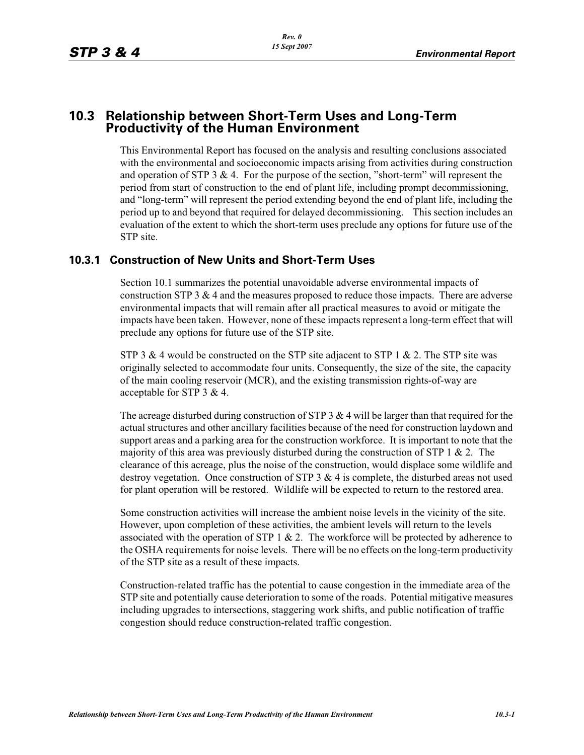## **10.3 Relationship between Short-Term Uses and Long-Term Productivity of the Human Environment**

This Environmental Report has focused on the analysis and resulting conclusions associated with the environmental and socioeconomic impacts arising from activities during construction and operation of STP 3  $\&$  4. For the purpose of the section, "short-term" will represent the period from start of construction to the end of plant life, including prompt decommissioning, and "long-term" will represent the period extending beyond the end of plant life, including the period up to and beyond that required for delayed decommissioning. This section includes an evaluation of the extent to which the short-term uses preclude any options for future use of the STP site.

## **10.3.1 Construction of New Units and Short-Term Uses**

Section 10.1 summarizes the potential unavoidable adverse environmental impacts of construction STP 3  $\&$  4 and the measures proposed to reduce those impacts. There are adverse environmental impacts that will remain after all practical measures to avoid or mitigate the impacts have been taken. However, none of these impacts represent a long-term effect that will preclude any options for future use of the STP site.

STP 3 & 4 would be constructed on the STP site adjacent to STP 1 & 2. The STP site was originally selected to accommodate four units. Consequently, the size of the site, the capacity of the main cooling reservoir (MCR), and the existing transmission rights-of-way are acceptable for STP 3 & 4.

The acreage disturbed during construction of STP 3  $&$  4 will be larger than that required for the actual structures and other ancillary facilities because of the need for construction laydown and support areas and a parking area for the construction workforce. It is important to note that the majority of this area was previously disturbed during the construction of STP 1  $\&$  2. The clearance of this acreage, plus the noise of the construction, would displace some wildlife and destroy vegetation. Once construction of STP 3 & 4 is complete, the disturbed areas not used for plant operation will be restored. Wildlife will be expected to return to the restored area.

Some construction activities will increase the ambient noise levels in the vicinity of the site. However, upon completion of these activities, the ambient levels will return to the levels associated with the operation of STP  $1 \& 2$ . The workforce will be protected by adherence to the OSHA requirements for noise levels. There will be no effects on the long-term productivity of the STP site as a result of these impacts.

Construction-related traffic has the potential to cause congestion in the immediate area of the STP site and potentially cause deterioration to some of the roads. Potential mitigative measures including upgrades to intersections, staggering work shifts, and public notification of traffic congestion should reduce construction-related traffic congestion.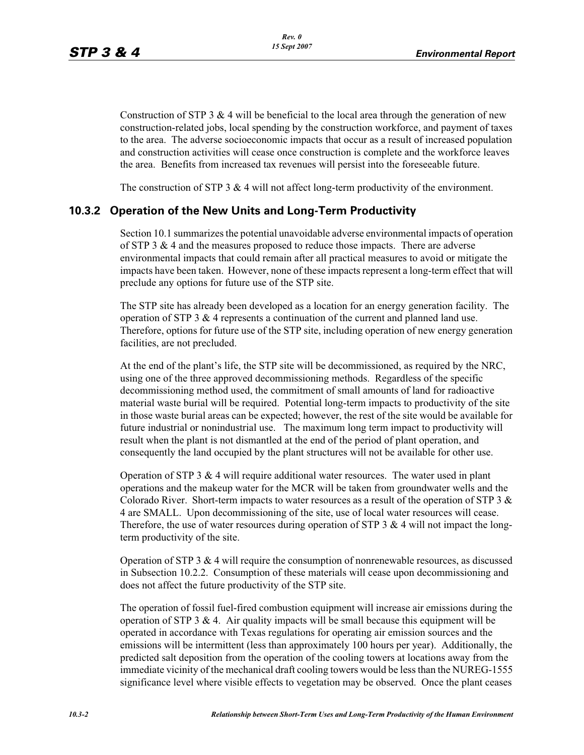Construction of STP 3  $&$  4 will be beneficial to the local area through the generation of new construction-related jobs, local spending by the construction workforce, and payment of taxes to the area. The adverse socioeconomic impacts that occur as a result of increased population and construction activities will cease once construction is complete and the workforce leaves the area. Benefits from increased tax revenues will persist into the foreseeable future.

The construction of STP 3 & 4 will not affect long-term productivity of the environment.

## **10.3.2 Operation of the New Units and Long-Term Productivity**

Section 10.1 summarizes the potential unavoidable adverse environmental impacts of operation of STP 3  $\&$  4 and the measures proposed to reduce those impacts. There are adverse environmental impacts that could remain after all practical measures to avoid or mitigate the impacts have been taken. However, none of these impacts represent a long-term effect that will preclude any options for future use of the STP site.

The STP site has already been developed as a location for an energy generation facility. The operation of STP 3 & 4 represents a continuation of the current and planned land use. Therefore, options for future use of the STP site, including operation of new energy generation facilities, are not precluded.

At the end of the plant's life, the STP site will be decommissioned, as required by the NRC, using one of the three approved decommissioning methods. Regardless of the specific decommissioning method used, the commitment of small amounts of land for radioactive material waste burial will be required. Potential long-term impacts to productivity of the site in those waste burial areas can be expected; however, the rest of the site would be available for future industrial or nonindustrial use. The maximum long term impact to productivity will result when the plant is not dismantled at the end of the period of plant operation, and consequently the land occupied by the plant structures will not be available for other use.

Operation of STP 3  $& 4$  will require additional water resources. The water used in plant operations and the makeup water for the MCR will be taken from groundwater wells and the Colorado River. Short-term impacts to water resources as a result of the operation of STP 3  $\&$ 4 are SMALL. Upon decommissioning of the site, use of local water resources will cease. Therefore, the use of water resources during operation of STP 3  $\&$  4 will not impact the longterm productivity of the site.

Operation of STP 3 & 4 will require the consumption of nonrenewable resources, as discussed in Subsection 10.2.2. Consumption of these materials will cease upon decommissioning and does not affect the future productivity of the STP site.

The operation of fossil fuel-fired combustion equipment will increase air emissions during the operation of STP 3  $\&$  4. Air quality impacts will be small because this equipment will be operated in accordance with Texas regulations for operating air emission sources and the emissions will be intermittent (less than approximately 100 hours per year). Additionally, the predicted salt deposition from the operation of the cooling towers at locations away from the immediate vicinity of the mechanical draft cooling towers would be less than the NUREG-1555 significance level where visible effects to vegetation may be observed. Once the plant ceases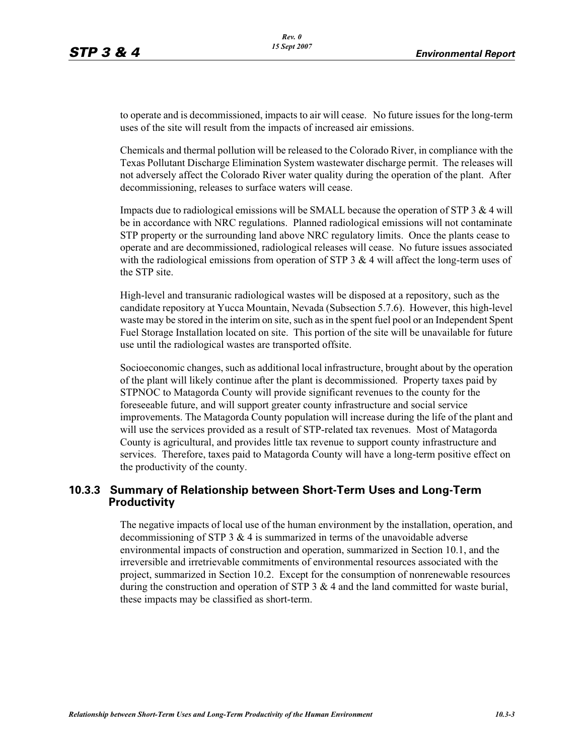to operate and is decommissioned, impacts to air will cease. No future issues for the long-term uses of the site will result from the impacts of increased air emissions.

Chemicals and thermal pollution will be released to the Colorado River, in compliance with the Texas Pollutant Discharge Elimination System wastewater discharge permit. The releases will not adversely affect the Colorado River water quality during the operation of the plant. After decommissioning, releases to surface waters will cease.

Impacts due to radiological emissions will be SMALL because the operation of STP  $3 \& 4$  will be in accordance with NRC regulations. Planned radiological emissions will not contaminate STP property or the surrounding land above NRC regulatory limits. Once the plants cease to operate and are decommissioned, radiological releases will cease. No future issues associated with the radiological emissions from operation of STP  $3 \& 4$  will affect the long-term uses of the STP site.

High-level and transuranic radiological wastes will be disposed at a repository, such as the candidate repository at Yucca Mountain, Nevada (Subsection 5.7.6). However, this high-level waste may be stored in the interim on site, such as in the spent fuel pool or an Independent Spent Fuel Storage Installation located on site. This portion of the site will be unavailable for future use until the radiological wastes are transported offsite.

Socioeconomic changes, such as additional local infrastructure, brought about by the operation of the plant will likely continue after the plant is decommissioned. Property taxes paid by STPNOC to Matagorda County will provide significant revenues to the county for the foreseeable future, and will support greater county infrastructure and social service improvements. The Matagorda County population will increase during the life of the plant and will use the services provided as a result of STP-related tax revenues. Most of Matagorda County is agricultural, and provides little tax revenue to support county infrastructure and services. Therefore, taxes paid to Matagorda County will have a long-term positive effect on the productivity of the county.

## **10.3.3 Summary of Relationship between Short-Term Uses and Long-Term Productivity**

The negative impacts of local use of the human environment by the installation, operation, and decommissioning of STP  $3 \& 4$  is summarized in terms of the unavoidable adverse environmental impacts of construction and operation, summarized in Section 10.1, and the irreversible and irretrievable commitments of environmental resources associated with the project, summarized in Section 10.2. Except for the consumption of nonrenewable resources during the construction and operation of STP  $3 \& 4$  and the land committed for waste burial, these impacts may be classified as short-term.